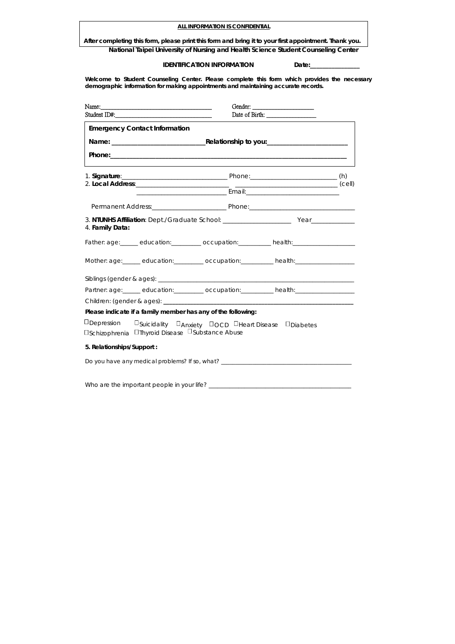|                                                                                                                                                                                   | ALL INFORMATION IS CONFIDENTIAL                          |  |  |  |
|-----------------------------------------------------------------------------------------------------------------------------------------------------------------------------------|----------------------------------------------------------|--|--|--|
| After completing this form, please print this form and bring it to your first appointment. Thank you.                                                                             |                                                          |  |  |  |
| National Taipei University of Nursing and Health Science Student Counseling Center                                                                                                |                                                          |  |  |  |
| <b>IDENTIFICATION INFORMATION</b><br>Date:_________________                                                                                                                       |                                                          |  |  |  |
| Welcome to Student Counseling Center. Please complete this form which provides the necessary<br>demographic information for making appointments and maintaining accurate records. |                                                          |  |  |  |
|                                                                                                                                                                                   | Gender:                                                  |  |  |  |
| Student ID#:                                                                                                                                                                      |                                                          |  |  |  |
| <b>Emergency Contact Information</b>                                                                                                                                              |                                                          |  |  |  |
|                                                                                                                                                                                   |                                                          |  |  |  |
|                                                                                                                                                                                   |                                                          |  |  |  |
|                                                                                                                                                                                   |                                                          |  |  |  |
|                                                                                                                                                                                   |                                                          |  |  |  |
|                                                                                                                                                                                   |                                                          |  |  |  |
|                                                                                                                                                                                   |                                                          |  |  |  |
| 4. Family Data:                                                                                                                                                                   |                                                          |  |  |  |
| Father: age: education: coccupation: health: health:                                                                                                                              |                                                          |  |  |  |
| Mother: age: education: compation: compation: health: http://www.file.com/induction.com/induction.com/inductio                                                                    |                                                          |  |  |  |
|                                                                                                                                                                                   |                                                          |  |  |  |
|                                                                                                                                                                                   |                                                          |  |  |  |
| Please indicate if a family member has any of the following:                                                                                                                      |                                                          |  |  |  |
| $\sqcup$ Depression<br>□Schizophrenia □Thyroid Disease □Substance Abuse                                                                                                           | □ Suicidality □ Anxiety □ OCD □ Heart Disease □ Diabetes |  |  |  |
| 5. Relationships/Support:                                                                                                                                                         |                                                          |  |  |  |
|                                                                                                                                                                                   |                                                          |  |  |  |

Who are the important people in your life? \_\_\_\_\_\_\_\_\_\_\_\_\_\_\_\_\_\_\_\_\_\_\_\_\_\_\_\_\_\_\_\_\_\_\_\_\_\_\_\_\_\_\_\_\_\_\_\_